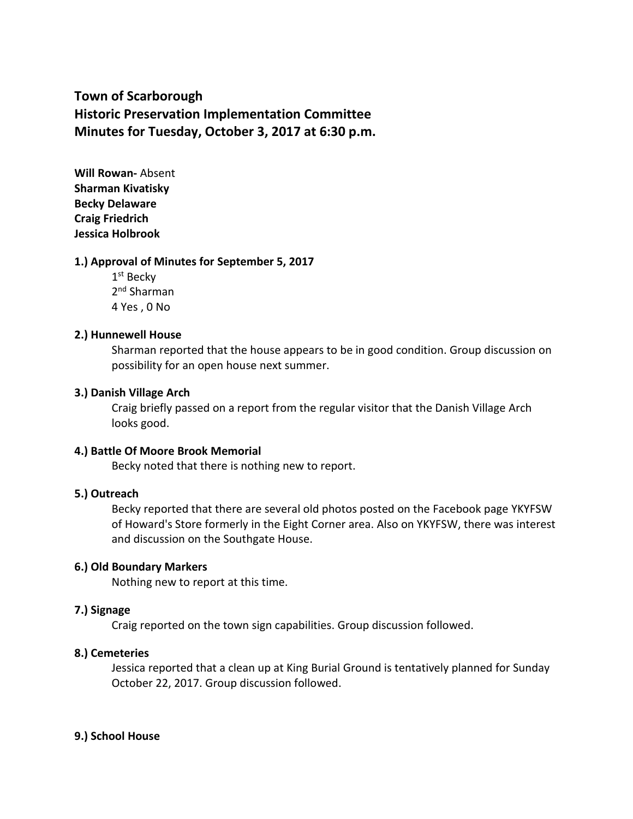# **Town of Scarborough Historic Preservation Implementation Committee Minutes for Tuesday, October 3, 2017 at 6:30 p.m.**

**Will Rowan-** Absent **Sharman Kivatisky Becky Delaware Craig Friedrich Jessica Holbrook**

### **1.) Approval of Minutes for September 5, 2017**

1st Becky 2<sup>nd</sup> Sharman 4 Yes , 0 No

### **2.) Hunnewell House**

Sharman reported that the house appears to be in good condition. Group discussion on possibility for an open house next summer.

### **3.) Danish Village Arch**

Craig briefly passed on a report from the regular visitor that the Danish Village Arch looks good.

#### **4.) Battle Of Moore Brook Memorial**

Becky noted that there is nothing new to report.

### **5.) Outreach**

Becky reported that there are several old photos posted on the Facebook page YKYFSW of Howard's Store formerly in the Eight Corner area. Also on YKYFSW, there was interest and discussion on the Southgate House.

#### **6.) Old Boundary Markers**

Nothing new to report at this time.

#### **7.) Signage**

Craig reported on the town sign capabilities. Group discussion followed.

#### **8.) Cemeteries**

Jessica reported that a clean up at King Burial Ground is tentatively planned for Sunday October 22, 2017. Group discussion followed.

#### **9.) School House**